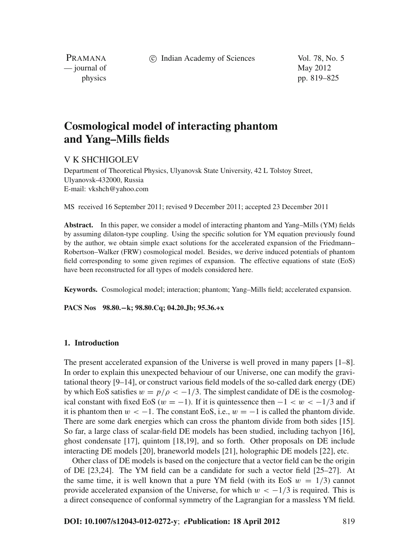c Indian Academy of Sciences Vol. 78, No. 5

PRAMANA  $\frac{1}{2}$  journal of May 2012

physics pp. 819–825

# **Cosmological model of interacting phantom and Yang–Mills fields**

## V K SHCHIGOLEV

Department of Theoretical Physics, Ulyanovsk State University, 42 L Tolstoy Street, Ulyanovsk-432000, Russia E-mail: vkshch@yahoo.com

MS received 16 September 2011; revised 9 December 2011; accepted 23 December 2011

**Abstract.** In this paper, we consider a model of interacting phantom and Yang–Mills (YM) fields by assuming dilaton-type coupling. Using the specific solution for YM equation previously found by the author, we obtain simple exact solutions for the accelerated expansion of the Friedmann– Robertson–Walker (FRW) cosmological model. Besides, we derive induced potentials of phantom field corresponding to some given regimes of expansion. The effective equations of state (EoS) have been reconstructed for all types of models considered here.

**Keywords.** Cosmological model; interaction; phantom; Yang–Mills field; accelerated expansion.

**PACS Nos 98.80.−k; 98.80.Cq; 04.20.Jb; 95.36.+x**

## **1. Introduction**

The present accelerated expansion of the Universe is well proved in many papers [1–8]. In order to explain this unexpected behaviour of our Universe, one can modify the gravitational theory [9–14], or construct various field models of the so-called dark energy (DE) by which EoS satisfies  $w = p/\rho < -1/3$ . The simplest candidate of DE is the cosmological constant with fixed EoS ( $w = -1$ ). If it is quintessence then  $-1 < w < -1/3$  and if it is phantom then  $w < -1$ . The constant EoS, i.e.,  $w = -1$  is called the phantom divide. There are some dark energies which can cross the phantom divide from both sides [15]. So far, a large class of scalar-field DE models has been studied, including tachyon [16], ghost condensate [17], quintom [18,19], and so forth. Other proposals on DE include interacting DE models [20], braneworld models [21], holographic DE models [22], etc.

Other class of DE models is based on the conjecture that a vector field can be the origin of DE [23,24]. The YM field can be a candidate for such a vector field [25–27]. At the same time, it is well known that a pure YM field (with its EoS  $w = 1/3$ ) cannot provide accelerated expansion of the Universe, for which  $w < -1/3$  is required. This is a direct consequence of conformal symmetry of the Lagrangian for a massless YM field.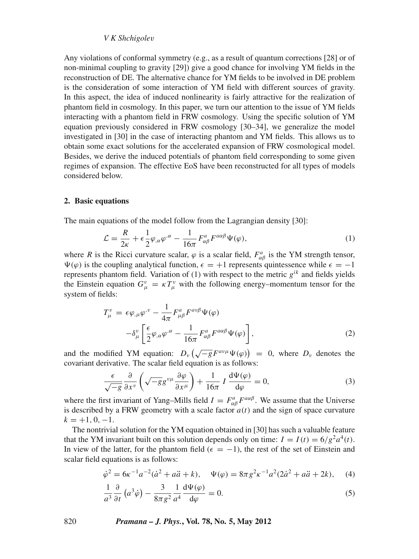### *V K Shchigole*v

Any violations of conformal symmetry (e.g., as a result of quantum corrections [28] or of non-minimal coupling to gravity [29]) give a good chance for involving YM fields in the reconstruction of DE. The alternative chance for YM fields to be involved in DE problem is the consideration of some interaction of YM field with different sources of gravity. In this aspect, the idea of induced nonlinearity is fairly attractive for the realization of phantom field in cosmology. In this paper, we turn our attention to the issue of YM fields interacting with a phantom field in FRW cosmology. Using the specific solution of YM equation previously considered in FRW cosmology [30–34], we generalize the model investigated in [30] in the case of interacting phantom and YM fields. This allows us to obtain some exact solutions for the accelerated expansion of FRW cosmological model. Besides, we derive the induced potentials of phantom field corresponding to some given regimes of expansion. The effective EoS have been reconstructed for all types of models considered below.

#### **2. Basic equations**

The main equations of the model follow from the Lagrangian density [30]:

$$
\mathcal{L} = \frac{R}{2\kappa} + \epsilon \frac{1}{2} \varphi_{,\alpha} \varphi^{,\alpha} - \frac{1}{16\pi} F^a_{\alpha\beta} F^{a\alpha\beta} \Psi(\varphi), \tag{1}
$$

where *R* is the Ricci curvature scalar,  $\varphi$  is a scalar field,  $F_{\alpha\beta}^{a}$  is the YM strength tensor,  $\Psi(\varphi)$  is the coupling analytical function,  $\epsilon = +1$  represents quintessence while  $\epsilon = -1$ represents phantom field. Variation of (1) with respect to the metric *gik* and fields yields the Einstein equation  $G^v_\mu = \kappa T^v_\mu$  with the following energy–momentum tensor for the system of fields:

$$
T_{\mu}^{\nu} = \epsilon \varphi_{,\mu} \varphi^{,\nu} - \frac{1}{4\pi} F_{\mu\beta}^{a} F^{a\nu\beta} \Psi(\varphi)
$$

$$
- \delta_{\mu}^{\nu} \left[ \frac{\epsilon}{2} \varphi_{,\alpha} \varphi^{,\alpha} - \frac{1}{16\pi} F_{\alpha\beta}^{a} F^{a\alpha\beta} \Psi(\varphi) \right], \tag{2}
$$

and the modified YM equation:  $D_v(\sqrt{-g}F^{av}\Psi(\varphi)) = 0$ , where  $D_v$  denotes the covariant derivative. The scalar field equation is as follows:

$$
\frac{\epsilon}{\sqrt{-g}} \frac{\partial}{\partial x^{\nu}} \left( \sqrt{-g} g^{\nu \mu} \frac{\partial \varphi}{\partial x^{\mu}} \right) + \frac{1}{16\pi} I \frac{d \Psi(\varphi)}{d \varphi} = 0, \tag{3}
$$

where the first invariant of Yang–Mills field  $I = F^a_{\alpha\beta} F^{a\alpha\beta}$ . We assume that the Universe is described by a FRW geometry with a scale factor  $a(t)$  and the sign of space curvature  $k = +1, 0, -1.$ 

The nontrivial solution for the YM equation obtained in [30] has such a valuable feature that the YM invariant built on this solution depends only on time:  $I = I(t) = 6/g^2 a^4(t)$ . In view of the latter, for the phantom field ( $\epsilon = -1$ ), the rest of the set of Einstein and scalar field equations is as follows:

$$
\dot{\varphi}^2 = 6\kappa^{-1}a^{-2}(\dot{a}^2 + a\ddot{a} + k), \quad \Psi(\varphi) = 8\pi g^2 \kappa^{-1}a^2(2\dot{a}^2 + a\ddot{a} + 2k), \quad (4)
$$

$$
\frac{1}{a^3} \frac{\partial}{\partial t} \left( a^3 \dot{\varphi} \right) - \frac{3}{8\pi g^2} \frac{1}{a^4} \frac{\mathrm{d}\Psi(\varphi)}{\mathrm{d}\varphi} = 0. \tag{5}
$$

820 *Pramana – J. Phys.***, Vol. 78, No. 5, May 2012**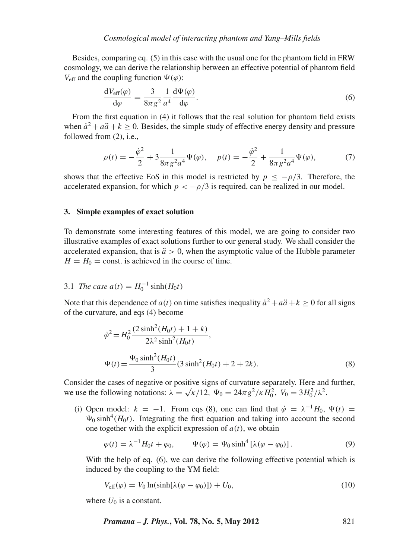Besides, comparing eq. (5) in this case with the usual one for the phantom field in FRW cosmology, we can derive the relationship between an effective potential of phantom field  $V_{\text{eff}}$  and the coupling function  $\Psi(\varphi)$ :

$$
\frac{dV_{\text{eff}}(\varphi)}{d\varphi} = \frac{3}{8\pi g^2} \frac{1}{a^4} \frac{d\Psi(\varphi)}{d\varphi}.
$$
\n(6)

From the first equation in (4) it follows that the real solution for phantom field exists when  $\dot{a}^2 + a\ddot{a} + k > 0$ . Besides, the simple study of effective energy density and pressure followed from (2), i.e.,

$$
\rho(t) = -\frac{\dot{\varphi}^2}{2} + 3\frac{1}{8\pi g^2 a^4} \Psi(\varphi), \quad p(t) = -\frac{\dot{\varphi}^2}{2} + \frac{1}{8\pi g^2 a^4} \Psi(\varphi), \tag{7}
$$

shows that the effective EoS in this model is restricted by  $p < -\rho/3$ . Therefore, the accelerated expansion, for which  $p < -\rho/3$  is required, can be realized in our model.

### **3. Simple examples of exact solution**

To demonstrate some interesting features of this model, we are going to consider two illustrative examples of exact solutions further to our general study. We shall consider the accelerated expansion, that is  $\ddot{a} > 0$ , when the asymptotic value of the Hubble parameter  $H = H_0 = \text{const.}$  is achieved in the course of time.

## 3.1 *The case*  $a(t) = H_0^{-1} \sinh(H_0 t)$

Note that this dependence of  $a(t)$  on time satisfies inequality  $\dot{a}^2 + a\ddot{a} + k \ge 0$  for all signs of the curvature, and eqs (4) become

$$
\dot{\varphi}^2 = H_0^2 \frac{(2 \sinh^2 (H_0 t) + 1 + k)}{2\lambda^2 \sinh^2 (H_0 t)},
$$
  

$$
\Psi(t) = \frac{\Psi_0 \sinh^2 (H_0 t)}{3} (3 \sinh^2 (H_0 t) + 2 + 2k).
$$
 (8)

Consider the cases of negative or positive signs of curvature separately. Here and further, we use the following notations:  $\lambda = \sqrt{\kappa/12}$ ,  $\Psi_0 = 24\pi g^2/\kappa H_0^2$ ,  $V_0 = 3H_0^2/\lambda^2$ .

(i) Open model:  $k = -1$ . From eqs (8), one can find that  $\dot{\varphi} = \lambda^{-1} H_0$ ,  $\Psi(t) =$  $\Psi_0$  sinh<sup>4</sup>( $H_0t$ ). Integrating the first equation and taking into account the second one together with the explicit expression of  $a(t)$ , we obtain

$$
\varphi(t) = \lambda^{-1} H_0 t + \varphi_0, \qquad \Psi(\varphi) = \Psi_0 \sinh^4 \left[ \lambda (\varphi - \varphi_0) \right]. \tag{9}
$$

With the help of eq. (6), we can derive the following effective potential which is induced by the coupling to the YM field:

$$
V_{\text{eff}}(\varphi) = V_0 \ln(\sinh[\lambda(\varphi - \varphi_0)]) + U_0,\tag{10}
$$

where  $U_0$  is a constant.

*Pramana – J. Phys.***, Vol. 78, No. 5, May 2012** 821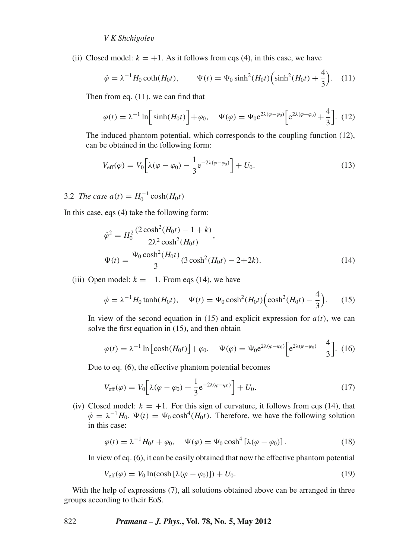(ii) Closed model:  $k = +1$ . As it follows from eqs (4), in this case, we have

$$
\dot{\varphi} = \lambda^{-1} H_0 \coth(H_0 t), \qquad \Psi(t) = \Psi_0 \sinh^2(H_0 t) \left( \sinh^2(H_0 t) + \frac{4}{3} \right). \tag{11}
$$

Then from eq. (11), we can find that

$$
\varphi(t) = \lambda^{-1} \ln \left[ \sinh(H_0 t) \right] + \varphi_0, \quad \Psi(\varphi) = \Psi_0 e^{2\lambda(\varphi - \varphi_0)} \left[ e^{2\lambda(\varphi - \varphi_0)} + \frac{4}{3} \right]. \tag{12}
$$

The induced phantom potential, which corresponds to the coupling function (12), can be obtained in the following form:

$$
V_{\text{eff}}(\varphi) = V_0 \left[ \lambda(\varphi - \varphi_0) - \frac{1}{3} e^{-2\lambda(\varphi - \varphi_0)} \right] + U_0.
$$
 (13)

3.2 *The case*  $a(t) = H_0^{-1} \cosh(H_0 t)$ 

In this case, eqs (4) take the following form:

$$
\dot{\varphi}^2 = H_0^2 \frac{(2 \cosh^2(H_0 t) - 1 + k)}{2\lambda^2 \cosh^2(H_0 t)},
$$
  

$$
\Psi(t) = \frac{\Psi_0 \cosh^2(H_0 t)}{3} (3 \cosh^2(H_0 t) - 2 + 2k).
$$
 (14)

(iii) Open model:  $k = -1$ . From eqs (14), we have

$$
\dot{\varphi} = \lambda^{-1} H_0 \tanh(H_0 t), \quad \Psi(t) = \Psi_0 \cosh^2(H_0 t) \left(\cosh^2(H_0 t) - \frac{4}{3}\right).
$$
 (15)

In view of the second equation in (15) and explicit expression for  $a(t)$ , we can solve the first equation in (15), and then obtain

$$
\varphi(t) = \lambda^{-1} \ln \left[ \cosh(H_0 t) \right] + \varphi_0, \quad \Psi(\varphi) = \Psi_0 e^{2\lambda(\varphi - \varphi_0)} \left[ e^{2\lambda(\varphi - \varphi_0)} - \frac{4}{3} \right]. \tag{16}
$$

Due to eq. (6), the effective phantom potential becomes

$$
V_{\rm eff}(\varphi) = V_0 \left[ \lambda(\varphi - \varphi_0) + \frac{1}{3} e^{-2\lambda(\varphi - \varphi_0)} \right] + U_0.
$$
 (17)

(iv) Closed model:  $k = +1$ . For this sign of curvature, it follows from eqs (14), that  $\dot{\varphi} = \lambda^{-1} H_0$ ,  $\Psi(t) = \Psi_0 \cosh^4(H_0 t)$ . Therefore, we have the following solution in this case:

$$
\varphi(t) = \lambda^{-1} H_0 t + \varphi_0, \quad \Psi(\varphi) = \Psi_0 \cosh^4 \left[ \lambda (\varphi - \varphi_0) \right]. \tag{18}
$$

In view of eq. (6), it can be easily obtained that now the effective phantom potential

$$
V_{\text{eff}}(\varphi) = V_0 \ln(\cosh[\lambda(\varphi - \varphi_0)]) + U_0. \tag{19}
$$

With the help of expressions (7), all solutions obtained above can be arranged in three groups according to their EoS.

## 822 *Pramana – J. Phys.***, Vol. 78, No. 5, May 2012**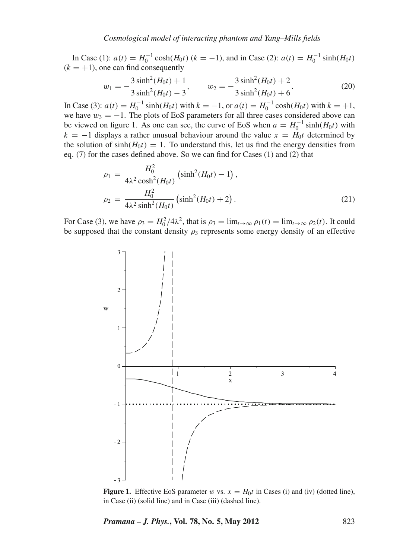In Case (1):  $a(t) = H_0^{-1} \cosh(H_0 t)$  ( $k = -1$ ), and in Case (2):  $a(t) = H_0^{-1} \sinh(H_0 t)$  $(k = +1)$ , one can find consequently

$$
w_1 = -\frac{3\sinh^2(H_0t) + 1}{3\sinh^2(H_0t) - 3}, \qquad w_2 = -\frac{3\sinh^2(H_0t) + 2}{3\sinh^2(H_0t) + 6}.
$$
 (20)

In Case (3):  $a(t) = H_0^{-1} \sinh(H_0 t)$  with  $k = -1$ , or  $a(t) = H_0^{-1} \cosh(H_0 t)$  with  $k = +1$ , we have  $w_3 = -1$ . The plots of EoS parameters for all three cases considered above can be viewed on figure 1. As one can see, the curve of EoS when  $a = H_0^{-1} \sinh(H_0 t)$  with  $k = -1$  displays a rather unusual behaviour around the value  $x = H_0 t$  determined by the solution of  $sinh(H_0t) = 1$ . To understand this, let us find the energy densities from eq. (7) for the cases defined above. So we can find for Cases (1) and (2) that

$$
\rho_1 = \frac{H_0^2}{4\lambda^2 \cosh^2(H_0 t)} \left(\sinh^2(H_0 t) - 1\right),
$$
  
\n
$$
\rho_2 = \frac{H_0^2}{4\lambda^2 \sinh^2(H_0 t)} \left(\sinh^2(H_0 t) + 2\right).
$$
\n(21)

For Case (3), we have  $\rho_3 = H_0^2/4\lambda^2$ , that is  $\rho_3 = \lim_{t \to \infty} \rho_1(t) = \lim_{t \to \infty} \rho_2(t)$ . It could be supposed that the constant density  $\rho_3$  represents some energy density of an effective



**Figure 1.** Effective EoS parameter w vs.  $x = H_0 t$  in Cases (i) and (iv) (dotted line), in Case (ii) (solid line) and in Case (iii) (dashed line).

*Pramana – J. Phys.***, Vol. 78, No. 5, May 2012** 823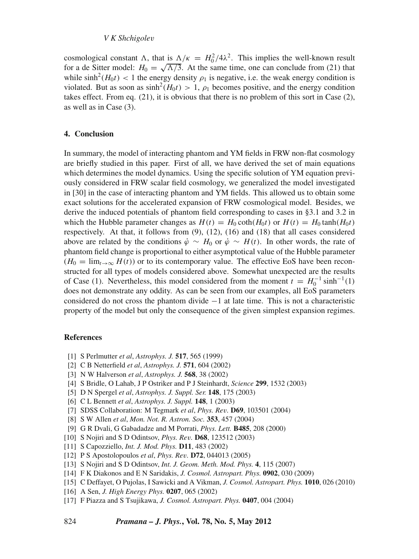### *V K Shchigole*v

cosmological constant  $\Lambda$ , that is  $\Lambda/\kappa = H_0^2/4\lambda^2$ . This implies the well-known result for a de Sitter model:  $H_0 = \sqrt{\Lambda/3}$ . At the same time, one can conclude from (21) that while  $\sinh^2(H_0 t)$  < 1 the energy density  $\rho_1$  is negative, i.e. the weak energy condition is violated. But as soon as  $\sinh^2(H_0t) > 1$ ,  $\rho_1$  becomes positive, and the energy condition takes effect. From eq. (21), it is obvious that there is no problem of this sort in Case (2), as well as in Case (3).

### **4. Conclusion**

In summary, the model of interacting phantom and YM fields in FRW non-flat cosmology are briefly studied in this paper. First of all, we have derived the set of main equations which determines the model dynamics. Using the specific solution of YM equation previously considered in FRW scalar field cosmology, we generalized the model investigated in [30] in the case of interacting phantom and YM fields. This allowed us to obtain some exact solutions for the accelerated expansion of FRW cosmological model. Besides, we derive the induced potentials of phantom field corresponding to cases in §3.1 and 3.2 in which the Hubble parameter changes as  $H(t) = H_0 \coth(H_0 t)$  or  $H(t) = H_0 \tanh(H_0 t)$ respectively. At that, it follows from (9), (12), (16) and (18) that all cases considered above are related by the conditions  $\dot{\varphi} \sim H_0$  or  $\dot{\varphi} \sim H(t)$ . In other words, the rate of phantom field change is proportional to either asymptotical value of the Hubble parameter  $(H_0 = \lim_{t \to \infty} H(t))$  or to its contemporary value. The effective EoS have been reconstructed for all types of models considered above. Somewhat unexpected are the results of Case (1). Nevertheless, this model considered from the moment  $t = H_0^{-1} \sinh^{-1}(1)$ does not demonstrate any oddity. As can be seen from our examples, all EoS parameters considered do not cross the phantom divide −1 at late time. This is not a characteristic property of the model but only the consequence of the given simplest expansion regimes.

#### **References**

- [1] S Perlmutter *et al*, *Astrophys. J.* **517**, 565 (1999)
- [2] C B Netterfield *et al*, *Astrophys. J.* **571**, 604 (2002)
- [3] N W Halverson *et al*, *Astrophys. J.* **568**, 38 (2002)
- [4] S Bridle, O Lahab, J P Ostriker and P J Steinhardt, *Science* **299**, 1532 (2003)
- [5] D N Spergel *et al*, *Astrophys. J. Suppl. Ser.* **148**, 175 (2003)
- [6] C L Bennett *et al*, *Astrophys. J. Suppl.* **148**, 1 (2003)
- [7] SDSS Collaboration: M Tegmark *et al*, *Phys. Re*v*.* **D69**, 103501 (2004)
- [8] S W Allen *et al*, *Mon. Not. R. Astron. Soc.* **353**, 457 (2004)
- [9] G R Dvali, G Gabadadze and M Porrati, *Phys. Lett.* **B485**, 208 (2000)
- [10] S Nojiri and S D Odintsov, *Phys. Re*v*.* **D68**, 123512 (2003)
- [11] S Capozziello, *Int. J. Mod. Phys.* **D11**, 483 (2002)
- [12] P S Apostolopoulos *et al*, *Phys. Re*v*.* **D72**, 044013 (2005)
- [13] S Nojiri and S D Odintsov, *Int. J. Geom. Meth. Mod. Phys.* **4**, 115 (2007)
- [14] F K Diakonos and E N Saridakis, *J. Cosmol. Astropart. Phys.* **0902**, 030 (2009)
- [15] C Deffayet, O Pujolas, I Sawicki and A Vikman, *J. Cosmol. Astropart. Phys.* **1010**, 026 (2010)
- [16] A Sen, *J. High Energy Phys.* **0207**, 065 (2002)
- [17] F Piazza and S Tsujikawa, *J. Cosmol. Astropart. Phys.* **0407**, 004 (2004)